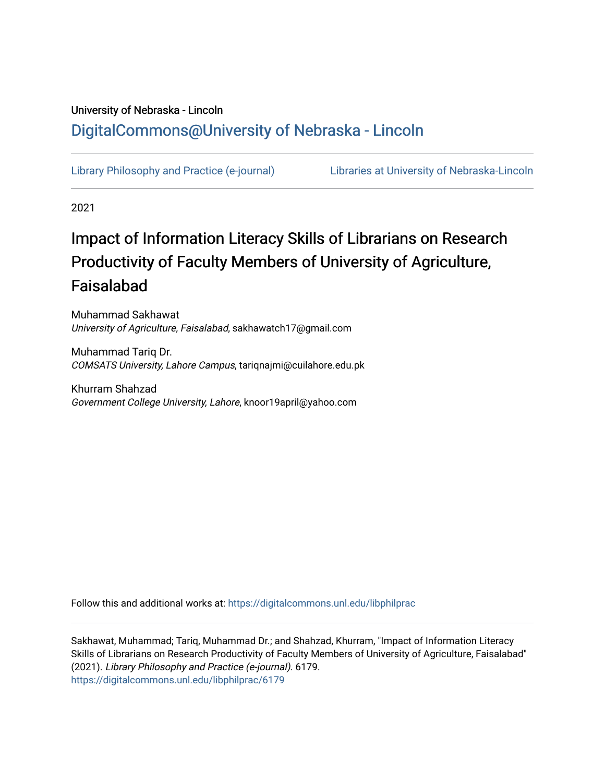# University of Nebraska - Lincoln [DigitalCommons@University of Nebraska - Lincoln](https://digitalcommons.unl.edu/)

[Library Philosophy and Practice \(e-journal\)](https://digitalcommons.unl.edu/libphilprac) [Libraries at University of Nebraska-Lincoln](https://digitalcommons.unl.edu/libraries) 

2021

# Impact of Information Literacy Skills of Librarians on Research Productivity of Faculty Members of University of Agriculture, Faisalabad

Muhammad Sakhawat University of Agriculture, Faisalabad, sakhawatch17@gmail.com

Muhammad Tariq Dr. COMSATS University, Lahore Campus, tariqnajmi@cuilahore.edu.pk

Khurram Shahzad Government College University, Lahore, knoor19april@yahoo.com

Follow this and additional works at: [https://digitalcommons.unl.edu/libphilprac](https://digitalcommons.unl.edu/libphilprac?utm_source=digitalcommons.unl.edu%2Flibphilprac%2F6179&utm_medium=PDF&utm_campaign=PDFCoverPages) 

Sakhawat, Muhammad; Tariq, Muhammad Dr.; and Shahzad, Khurram, "Impact of Information Literacy Skills of Librarians on Research Productivity of Faculty Members of University of Agriculture, Faisalabad" (2021). Library Philosophy and Practice (e-journal). 6179. [https://digitalcommons.unl.edu/libphilprac/6179](https://digitalcommons.unl.edu/libphilprac/6179?utm_source=digitalcommons.unl.edu%2Flibphilprac%2F6179&utm_medium=PDF&utm_campaign=PDFCoverPages)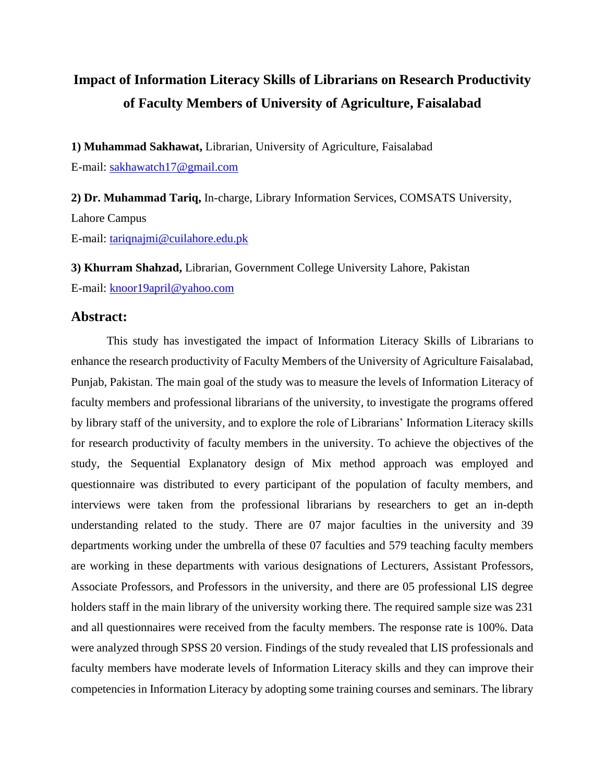# **Impact of Information Literacy Skills of Librarians on Research Productivity of Faculty Members of University of Agriculture, Faisalabad**

**1) Muhammad Sakhawat,** Librarian, University of Agriculture, Faisalabad E-mail: [sakhawatch17@gmail.com](mailto:sakhawatch17@gmail.com)

**2) Dr. Muhammad Tariq,** In-charge, Library Information Services, COMSATS University, Lahore Campus E-mail: [tariqnajmi@cuilahore.edu.pk](mailto:tariqnajmi@cuilahore.edu.pk)

**3) Khurram Shahzad,** Librarian, Government College University Lahore, Pakistan E-mail: [knoor19april@yahoo.com](mailto:knoor19april@yahoo.com)

# **Abstract:**

This study has investigated the impact of Information Literacy Skills of Librarians to enhance the research productivity of Faculty Members of the University of Agriculture Faisalabad, Punjab, Pakistan. The main goal of the study was to measure the levels of Information Literacy of faculty members and professional librarians of the university, to investigate the programs offered by library staff of the university, and to explore the role of Librarians' Information Literacy skills for research productivity of faculty members in the university. To achieve the objectives of the study, the Sequential Explanatory design of Mix method approach was employed and questionnaire was distributed to every participant of the population of faculty members, and interviews were taken from the professional librarians by researchers to get an in-depth understanding related to the study. There are 07 major faculties in the university and 39 departments working under the umbrella of these 07 faculties and 579 teaching faculty members are working in these departments with various designations of Lecturers, Assistant Professors, Associate Professors, and Professors in the university, and there are 05 professional LIS degree holders staff in the main library of the university working there. The required sample size was 231 and all questionnaires were received from the faculty members. The response rate is 100%. Data were analyzed through SPSS 20 version. Findings of the study revealed that LIS professionals and faculty members have moderate levels of Information Literacy skills and they can improve their competencies in Information Literacy by adopting some training courses and seminars. The library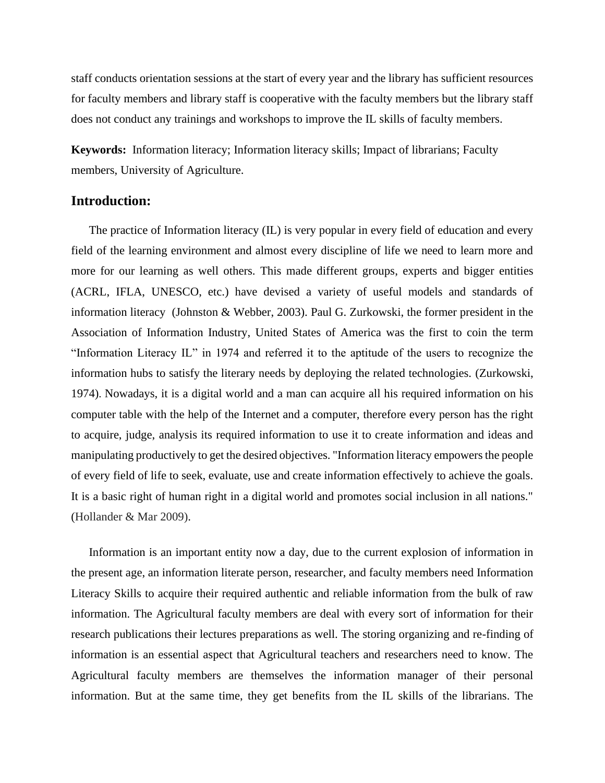staff conducts orientation sessions at the start of every year and the library has sufficient resources for faculty members and library staff is cooperative with the faculty members but the library staff does not conduct any trainings and workshops to improve the IL skills of faculty members.

**Keywords:** Information literacy; Information literacy skills; Impact of librarians; Faculty members, University of Agriculture.

## **Introduction:**

The practice of Information literacy (IL) is very popular in every field of education and every field of the learning environment and almost every discipline of life we need to learn more and more for our learning as well others. This made different groups, experts and bigger entities (ACRL, IFLA, UNESCO, etc.) have devised a variety of useful models and standards of information literacy (Johnston & Webber, 2003). Paul G. Zurkowski, the former president in the Association of Information Industry, United States of America was the first to coin the term "Information Literacy IL" in 1974 and referred it to the aptitude of the users to recognize the information hubs to satisfy the literary needs by deploying the related technologies. (Zurkowski, 1974). Nowadays, it is a digital world and a man can acquire all his required information on his computer table with the help of the Internet and a computer, therefore every person has the right to acquire, judge, analysis its required information to use it to create information and ideas and manipulating productively to get the desired objectives. "Information literacy empowers the people of every field of life to seek, evaluate, use and create information effectively to achieve the goals. It is a basic right of human right in a digital world and promotes social inclusion in all nations." (Hollander & Mar 2009).

Information is an important entity now a day, due to the current explosion of information in the present age, an information literate person, researcher, and faculty members need Information Literacy Skills to acquire their required authentic and reliable information from the bulk of raw information. The Agricultural faculty members are deal with every sort of information for their research publications their lectures preparations as well. The storing organizing and re-finding of information is an essential aspect that Agricultural teachers and researchers need to know. The Agricultural faculty members are themselves the information manager of their personal information. But at the same time, they get benefits from the IL skills of the librarians. The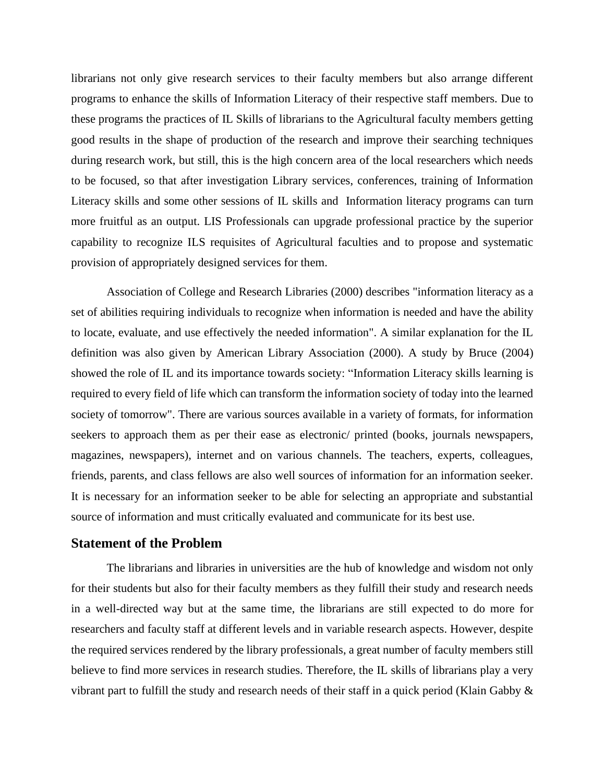librarians not only give research services to their faculty members but also arrange different programs to enhance the skills of Information Literacy of their respective staff members. Due to these programs the practices of IL Skills of librarians to the Agricultural faculty members getting good results in the shape of production of the research and improve their searching techniques during research work, but still, this is the high concern area of the local researchers which needs to be focused, so that after investigation Library services, conferences, training of Information Literacy skills and some other sessions of IL skills and Information literacy programs can turn more fruitful as an output. LIS Professionals can upgrade professional practice by the superior capability to recognize ILS requisites of Agricultural faculties and to propose and systematic provision of appropriately designed services for them.

Association of College and Research Libraries (2000) describes "information literacy as a set of abilities requiring individuals to recognize when information is needed and have the ability to locate, evaluate, and use effectively the needed information". A similar explanation for the IL definition was also given by American Library Association (2000). A study by Bruce (2004) showed the role of IL and its importance towards society: "Information Literacy skills learning is required to every field of life which can transform the information society of today into the learned society of tomorrow". There are various sources available in a variety of formats, for information seekers to approach them as per their ease as electronic/ printed (books, journals newspapers, magazines, newspapers), internet and on various channels. The teachers, experts, colleagues, friends, parents, and class fellows are also well sources of information for an information seeker. It is necessary for an information seeker to be able for selecting an appropriate and substantial source of information and must critically evaluated and communicate for its best use.

## **Statement of the Problem**

The librarians and libraries in universities are the hub of knowledge and wisdom not only for their students but also for their faculty members as they fulfill their study and research needs in a well-directed way but at the same time, the librarians are still expected to do more for researchers and faculty staff at different levels and in variable research aspects. However, despite the required services rendered by the library professionals, a great number of faculty members still believe to find more services in research studies. Therefore, the IL skills of librarians play a very vibrant part to fulfill the study and research needs of their staff in a quick period (Klain Gabby &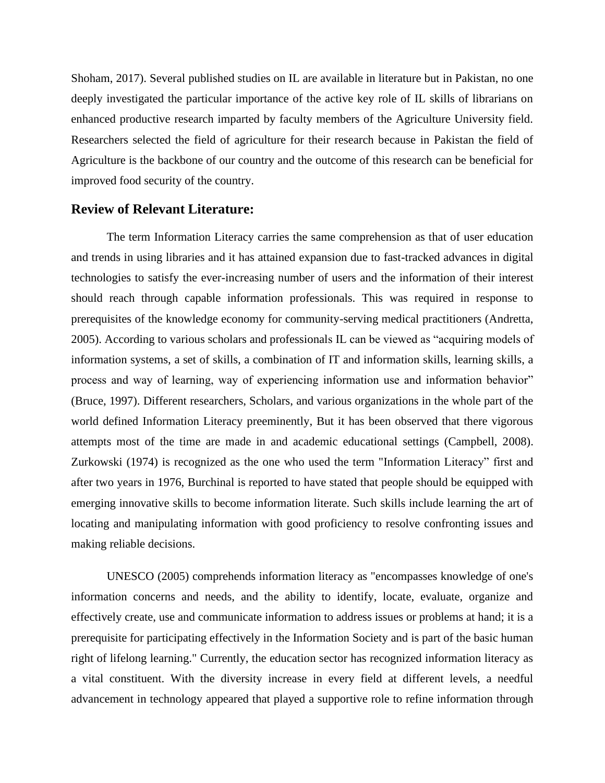Shoham, 2017). Several published studies on IL are available in literature but in Pakistan, no one deeply investigated the particular importance of the active key role of IL skills of librarians on enhanced productive research imparted by faculty members of the Agriculture University field. Researchers selected the field of agriculture for their research because in Pakistan the field of Agriculture is the backbone of our country and the outcome of this research can be beneficial for improved food security of the country.

## **Review of Relevant Literature:**

The term Information Literacy carries the same comprehension as that of user education and trends in using libraries and it has attained expansion due to fast-tracked advances in digital technologies to satisfy the ever-increasing number of users and the information of their interest should reach through capable information professionals. This was required in response to prerequisites of the knowledge economy for community-serving medical practitioners (Andretta, 2005). According to various scholars and professionals IL can be viewed as "acquiring models of information systems, a set of skills, a combination of IT and information skills, learning skills, a process and way of learning, way of experiencing information use and information behavior" (Bruce, 1997). Different researchers, Scholars, and various organizations in the whole part of the world defined Information Literacy preeminently, But it has been observed that there vigorous attempts most of the time are made in and academic educational settings (Campbell, 2008). Zurkowski (1974) is recognized as the one who used the term "Information Literacy" first and after two years in 1976, Burchinal is reported to have stated that people should be equipped with emerging innovative skills to become information literate. Such skills include learning the art of locating and manipulating information with good proficiency to resolve confronting issues and making reliable decisions.

UNESCO (2005) comprehends information literacy as "encompasses knowledge of one's information concerns and needs, and the ability to identify, locate, evaluate, organize and effectively create, use and communicate information to address issues or problems at hand; it is a prerequisite for participating effectively in the Information Society and is part of the basic human right of lifelong learning." Currently, the education sector has recognized information literacy as a vital constituent. With the diversity increase in every field at different levels, a needful advancement in technology appeared that played a supportive role to refine information through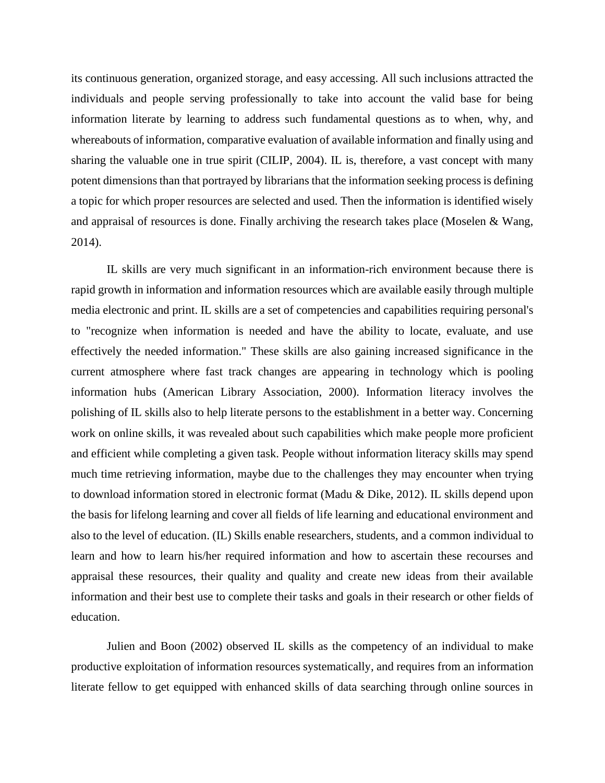its continuous generation, organized storage, and easy accessing. All such inclusions attracted the individuals and people serving professionally to take into account the valid base for being information literate by learning to address such fundamental questions as to when, why, and whereabouts of information, comparative evaluation of available information and finally using and sharing the valuable one in true spirit (CILIP, 2004). IL is, therefore, a vast concept with many potent dimensions than that portrayed by librarians that the information seeking process is defining a topic for which proper resources are selected and used. Then the information is identified wisely and appraisal of resources is done. Finally archiving the research takes place (Moselen & Wang, 2014).

IL skills are very much significant in an information-rich environment because there is rapid growth in information and information resources which are available easily through multiple media electronic and print. IL skills are a set of competencies and capabilities requiring personal's to "recognize when information is needed and have the ability to locate, evaluate, and use effectively the needed information." These skills are also gaining increased significance in the current atmosphere where fast track changes are appearing in technology which is pooling information hubs (American Library Association, 2000). Information literacy involves the polishing of IL skills also to help literate persons to the establishment in a better way. Concerning work on online skills, it was revealed about such capabilities which make people more proficient and efficient while completing a given task. People without information literacy skills may spend much time retrieving information, maybe due to the challenges they may encounter when trying to download information stored in electronic format (Madu & Dike, 2012). IL skills depend upon the basis for lifelong learning and cover all fields of life learning and educational environment and also to the level of education. (IL) Skills enable researchers, students, and a common individual to learn and how to learn his/her required information and how to ascertain these recourses and appraisal these resources, their quality and quality and create new ideas from their available information and their best use to complete their tasks and goals in their research or other fields of education.

Julien and Boon (2002) observed IL skills as the competency of an individual to make productive exploitation of information resources systematically, and requires from an information literate fellow to get equipped with enhanced skills of data searching through online sources in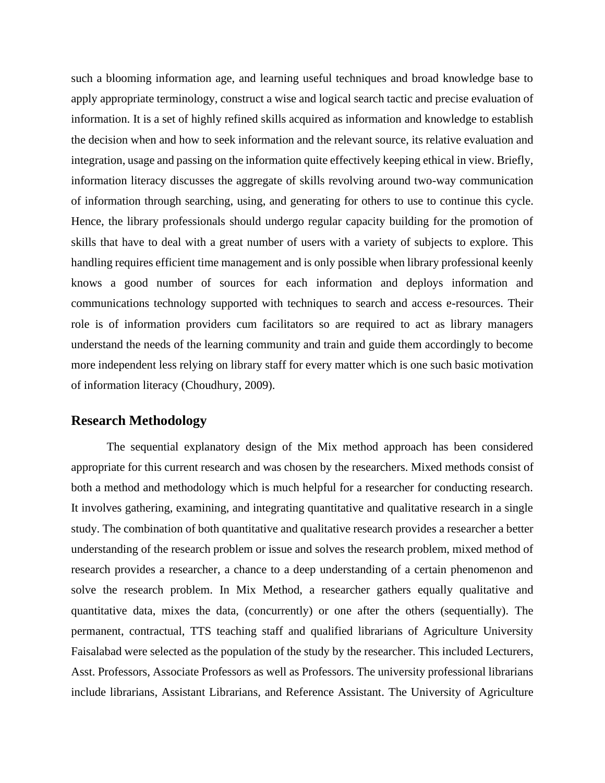such a blooming information age, and learning useful techniques and broad knowledge base to apply appropriate terminology, construct a wise and logical search tactic and precise evaluation of information. It is a set of highly refined skills acquired as information and knowledge to establish the decision when and how to seek information and the relevant source, its relative evaluation and integration, usage and passing on the information quite effectively keeping ethical in view. Briefly, information literacy discusses the aggregate of skills revolving around two-way communication of information through searching, using, and generating for others to use to continue this cycle. Hence, the library professionals should undergo regular capacity building for the promotion of skills that have to deal with a great number of users with a variety of subjects to explore. This handling requires efficient time management and is only possible when library professional keenly knows a good number of sources for each information and deploys information and communications technology supported with techniques to search and access e-resources. Their role is of information providers cum facilitators so are required to act as library managers understand the needs of the learning community and train and guide them accordingly to become more independent less relying on library staff for every matter which is one such basic motivation of information literacy (Choudhury, 2009).

## **Research Methodology**

The sequential explanatory design of the Mix method approach has been considered appropriate for this current research and was chosen by the researchers. Mixed methods consist of both a method and methodology which is much helpful for a researcher for conducting research. It involves gathering, examining, and integrating quantitative and qualitative research in a single study. The combination of both quantitative and qualitative research provides a researcher a better understanding of the research problem or issue and solves the research problem, mixed method of research provides a researcher, a chance to a deep understanding of a certain phenomenon and solve the research problem. In Mix Method, a researcher gathers equally qualitative and quantitative data, mixes the data, (concurrently) or one after the others (sequentially). The permanent, contractual, TTS teaching staff and qualified librarians of Agriculture University Faisalabad were selected as the population of the study by the researcher. This included Lecturers, Asst. Professors, Associate Professors as well as Professors. The university professional librarians include librarians, Assistant Librarians, and Reference Assistant. The University of Agriculture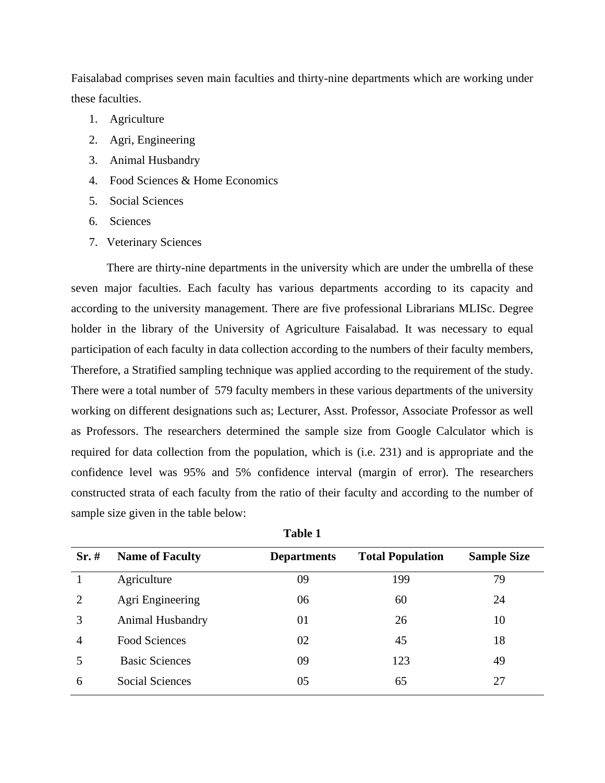Faisalabad comprises seven main faculties and thirty-nine departments which are working under these faculties.

- 1. Agriculture
- 2. Agri, Engineering
- 3. Animal Husbandry
- 4. Food Sciences & Home Economics
- 5. Social Sciences
- 6. Sciences
- 7. Veterinary Sciences

There are thirty-nine departments in the university which are under the umbrella of these seven major faculties. Each faculty has various departments according to its capacity and according to the university management. There are five professional Librarians MLISc. Degree holder in the library of the University of Agriculture Faisalabad. It was necessary to equal participation of each faculty in data collection according to the numbers of their faculty members, Therefore, a Stratified sampling technique was applied according to the requirement of the study. There were a total number of 579 faculty members in these various departments of the university working on different designations such as; Lecturer, Asst. Professor, Associate Professor as well as Professors. The researchers determined the sample size from Google Calculator which is required for data collection from the population, which is (i.e. 231) and is appropriate and the confidence level was 95% and 5% confidence interval (margin of error). The researchers constructed strata of each faculty from the ratio of their faculty and according to the number of sample size given in the table below:

| $Sr. \#$ | <b>Name of Faculty</b> | <b>Departments</b> | <b>Total Population</b> | <b>Sample Size</b> |
|----------|------------------------|--------------------|-------------------------|--------------------|
|          | Agriculture            | 09                 | 199                     | 79                 |
| 2        | Agri Engineering       | 06                 | 60                      | 24                 |
| 3        | Animal Husbandry       | 01                 | 26                      | 10                 |
| 4        | Food Sciences          | 02                 | 45                      | 18                 |
| 5        | <b>Basic Sciences</b>  | 09                 | 123                     | 49                 |
| 6        | <b>Social Sciences</b> | 05                 | 65                      | 27                 |

**Table 1**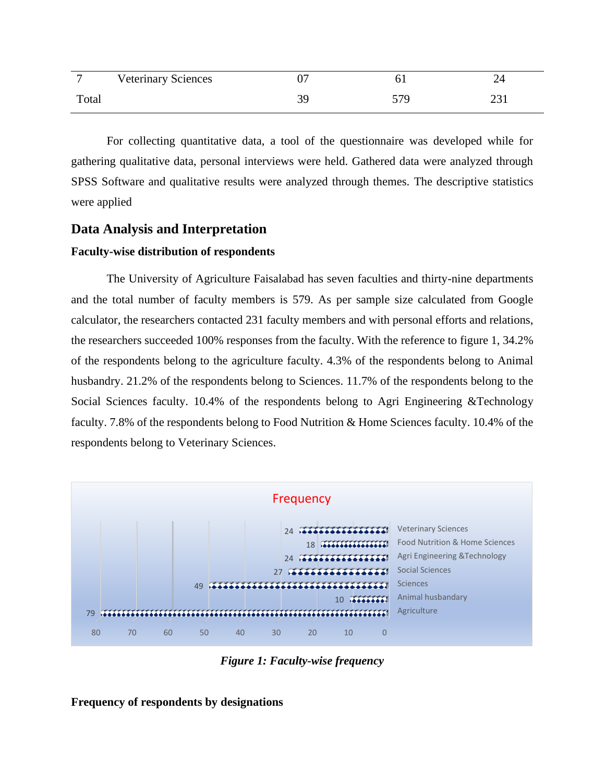|       | <b>Veterinary Sciences</b> |          |     |  |
|-------|----------------------------|----------|-----|--|
| Total |                            | 39<br>J. | 570 |  |

For collecting quantitative data, a tool of the questionnaire was developed while for gathering qualitative data, personal interviews were held. Gathered data were analyzed through SPSS Software and qualitative results were analyzed through themes. The descriptive statistics were applied

# **Data Analysis and Interpretation**

#### **Faculty-wise distribution of respondents**

The University of Agriculture Faisalabad has seven faculties and thirty-nine departments and the total number of faculty members is 579. As per sample size calculated from Google calculator, the researchers contacted 231 faculty members and with personal efforts and relations, the researchers succeeded 100% responses from the faculty. With the reference to figure 1, 34.2% of the respondents belong to the agriculture faculty. 4.3% of the respondents belong to Animal husbandry. 21.2% of the respondents belong to Sciences. 11.7% of the respondents belong to the Social Sciences faculty. 10.4% of the respondents belong to Agri Engineering &Technology faculty. 7.8% of the respondents belong to Food Nutrition & Home Sciences faculty. 10.4% of the respondents belong to Veterinary Sciences.



*Figure 1: Faculty-wise frequency*

**Frequency of respondents by designations**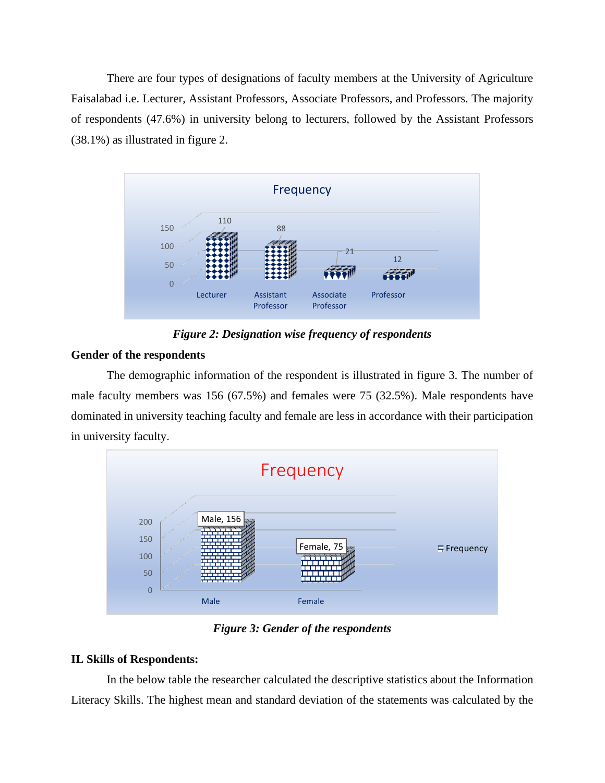There are four types of designations of faculty members at the University of Agriculture Faisalabad i.e. Lecturer, Assistant Professors, Associate Professors, and Professors. The majority of respondents (47.6%) in university belong to lecturers, followed by the Assistant Professors (38.1%) as illustrated in figure 2.



*Figure 2: Designation wise frequency of respondents*

# **Gender of the respondents**

The demographic information of the respondent is illustrated in figure 3. The number of male faculty members was 156 (67.5%) and females were 75 (32.5%). Male respondents have dominated in university teaching faculty and female are less in accordance with their participation in university faculty.



*Figure 3: Gender of the respondents*

# **IL Skills of Respondents:**

In the below table the researcher calculated the descriptive statistics about the Information Literacy Skills. The highest mean and standard deviation of the statements was calculated by the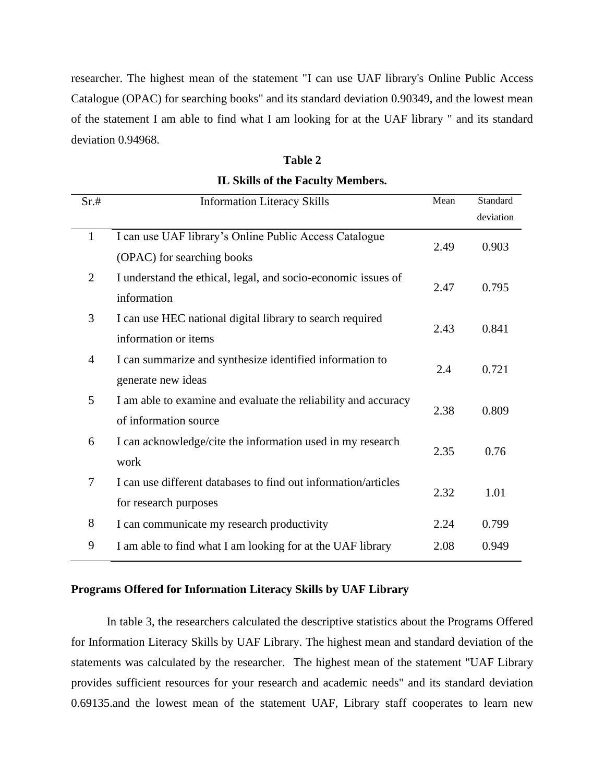researcher. The highest mean of the statement "I can use UAF library's Online Public Access Catalogue (OPAC) for searching books" and its standard deviation 0.90349, and the lowest mean of the statement I am able to find what I am looking for at the UAF library " and its standard deviation 0.94968.

| ١<br>n<br>., |  |
|--------------|--|
|--------------|--|

|  | <b>IL Skills of the Faculty Members.</b> |  |  |  |  |  |  |
|--|------------------------------------------|--|--|--|--|--|--|
|--|------------------------------------------|--|--|--|--|--|--|

| Sr.#           | <b>Information Literacy Skills</b>                             | Mean | Standard  |
|----------------|----------------------------------------------------------------|------|-----------|
|                |                                                                |      | deviation |
| $\mathbf{1}$   | I can use UAF library's Online Public Access Catalogue         | 2.49 | 0.903     |
|                | (OPAC) for searching books                                     |      |           |
| $\overline{2}$ | I understand the ethical, legal, and socio-economic issues of  | 2.47 | 0.795     |
|                | information                                                    |      |           |
| 3              | I can use HEC national digital library to search required      | 2.43 | 0.841     |
|                | information or items                                           |      |           |
| $\overline{4}$ | I can summarize and synthesize identified information to       | 2.4  | 0.721     |
|                | generate new ideas                                             |      |           |
| 5              | I am able to examine and evaluate the reliability and accuracy | 2.38 |           |
|                | of information source                                          |      | 0.809     |
| 6              | I can acknowledge/cite the information used in my research     | 2.35 | 0.76      |
|                | work                                                           |      |           |
| $\overline{7}$ | I can use different databases to find out information/articles | 2.32 | 1.01      |
|                | for research purposes                                          |      |           |
| 8              | I can communicate my research productivity                     | 2.24 | 0.799     |
| 9              | I am able to find what I am looking for at the UAF library     | 2.08 | 0.949     |

## **Programs Offered for Information Literacy Skills by UAF Library**

In table 3, the researchers calculated the descriptive statistics about the Programs Offered for Information Literacy Skills by UAF Library. The highest mean and standard deviation of the statements was calculated by the researcher. The highest mean of the statement "UAF Library provides sufficient resources for your research and academic needs" and its standard deviation 0.69135.and the lowest mean of the statement UAF, Library staff cooperates to learn new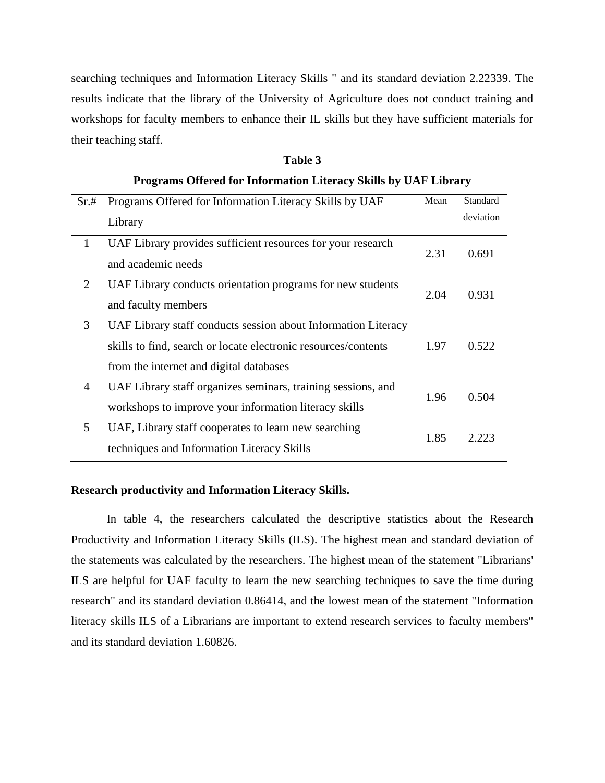searching techniques and Information Literacy Skills " and its standard deviation 2.22339. The results indicate that the library of the University of Agriculture does not conduct training and workshops for faculty members to enhance their IL skills but they have sufficient materials for their teaching staff.

| Sr.#         | Programs Offered for Information Literacy Skills by UAF        | Mean | Standard  |  |
|--------------|----------------------------------------------------------------|------|-----------|--|
|              | Library                                                        |      | deviation |  |
| $\mathbf{1}$ | UAF Library provides sufficient resources for your research    | 2.31 | 0.691     |  |
|              | and academic needs                                             |      |           |  |
| 2            | UAF Library conducts orientation programs for new students     | 2.04 | 0.931     |  |
|              | and faculty members                                            |      |           |  |
| 3            | UAF Library staff conducts session about Information Literacy  |      |           |  |
|              | skills to find, search or locate electronic resources/contents | 1.97 | 0.522     |  |
|              | from the internet and digital databases                        |      |           |  |
| 4            | UAF Library staff organizes seminars, training sessions, and   |      |           |  |
|              | workshops to improve your information literacy skills          | 1.96 | 0.504     |  |
| 5            | UAF, Library staff cooperates to learn new searching           |      |           |  |
|              | techniques and Information Literacy Skills                     | 1.85 | 2.223     |  |
|              |                                                                |      |           |  |

**Programs Offered for Information Literacy Skills by UAF Library**

**Table 3**

### **Research productivity and Information Literacy Skills.**

In table 4, the researchers calculated the descriptive statistics about the Research Productivity and Information Literacy Skills (ILS). The highest mean and standard deviation of the statements was calculated by the researchers. The highest mean of the statement "Librarians' ILS are helpful for UAF faculty to learn the new searching techniques to save the time during research" and its standard deviation 0.86414, and the lowest mean of the statement "Information literacy skills ILS of a Librarians are important to extend research services to faculty members" and its standard deviation 1.60826.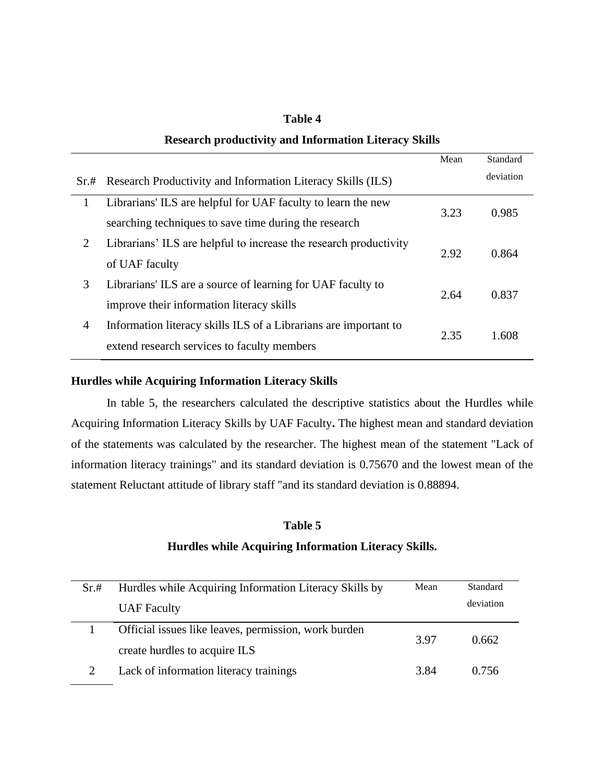#### **Table 4**

# **Research productivity and Information Literacy Skills**

|                |                                                                   | Mean | Standard  |
|----------------|-------------------------------------------------------------------|------|-----------|
| Sr.#           | Research Productivity and Information Literacy Skills (ILS)       |      | deviation |
| 1              | Librarians' ILS are helpful for UAF faculty to learn the new      |      |           |
|                | searching techniques to save time during the research             | 3.23 | 0.985     |
| 2              | Librarians' ILS are helpful to increase the research productivity | 2.92 | 0.864     |
|                | of UAF faculty                                                    |      |           |
| 3              | Librarians' ILS are a source of learning for UAF faculty to       | 2.64 |           |
|                | improve their information literacy skills                         |      | 0.837     |
| $\overline{4}$ | Information literacy skills ILS of a Librarians are important to  |      |           |
|                | extend research services to faculty members                       | 2.35 | 1.608     |
|                |                                                                   |      |           |

## **Hurdles while Acquiring Information Literacy Skills**

In table 5, the researchers calculated the descriptive statistics about the Hurdles while Acquiring Information Literacy Skills by UAF Faculty**.** The highest mean and standard deviation of the statements was calculated by the researcher. The highest mean of the statement "Lack of information literacy trainings" and its standard deviation is 0.75670 and the lowest mean of the statement Reluctant attitude of library staff "and its standard deviation is 0.88894.

#### **Table 5**

# **Hurdles while Acquiring Information Literacy Skills.**

| Sr.# | Hurdles while Acquiring Information Literacy Skills by | Mean | Standard  |
|------|--------------------------------------------------------|------|-----------|
|      | <b>UAF</b> Faculty                                     |      | deviation |
|      | Official issues like leaves, permission, work burden   | 3.97 | 0.662     |
|      | create hurdles to acquire ILS                          |      |           |
|      | Lack of information literacy trainings                 | 3.84 | 0.756     |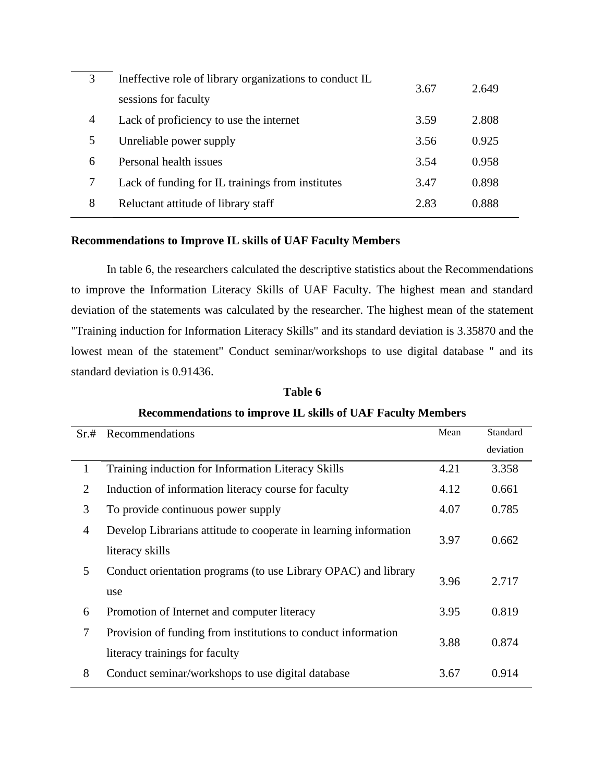| 3 | Ineffective role of library organizations to conduct IL | 3.67 | 2.649 |
|---|---------------------------------------------------------|------|-------|
|   | sessions for faculty                                    |      |       |
| 4 | Lack of proficiency to use the internet                 | 3.59 | 2.808 |
| 5 | Unreliable power supply                                 | 3.56 | 0.925 |
| 6 | Personal health issues                                  | 3.54 | 0.958 |
|   | Lack of funding for IL trainings from institutes        | 3.47 | 0.898 |
| 8 | Reluctant attitude of library staff                     | 2.83 | 0.888 |
|   |                                                         |      |       |

### **Recommendations to Improve IL skills of UAF Faculty Members**

In table 6, the researchers calculated the descriptive statistics about the Recommendations to improve the Information Literacy Skills of UAF Faculty. The highest mean and standard deviation of the statements was calculated by the researcher. The highest mean of the statement "Training induction for Information Literacy Skills" and its standard deviation is 3.35870 and the lowest mean of the statement" Conduct seminar/workshops to use digital database " and its standard deviation is 0.91436.

| Sr.#           | Recommendations                                                  | Mean | Standard<br>deviation |
|----------------|------------------------------------------------------------------|------|-----------------------|
| 1              | Training induction for Information Literacy Skills               | 4.21 | 3.358                 |
| 2              | Induction of information literacy course for faculty             | 4.12 | 0.661                 |
| 3              | To provide continuous power supply                               | 4.07 | 0.785                 |
| $\overline{4}$ | Develop Librarians attitude to cooperate in learning information | 3.97 | 0.662                 |
|                | literacy skills                                                  |      |                       |
| 5              | Conduct orientation programs (to use Library OPAC) and library   | 3.96 | 2.717                 |
|                | use                                                              |      |                       |
| 6              | Promotion of Internet and computer literacy                      | 3.95 | 0.819                 |
| 7              | Provision of funding from institutions to conduct information    | 3.88 | 0.874                 |
|                | literacy trainings for faculty                                   |      |                       |
| 8              | Conduct seminar/workshops to use digital database                | 3.67 | 0.914                 |

**Table 6 Recommendations to improve IL skills of UAF Faculty Members**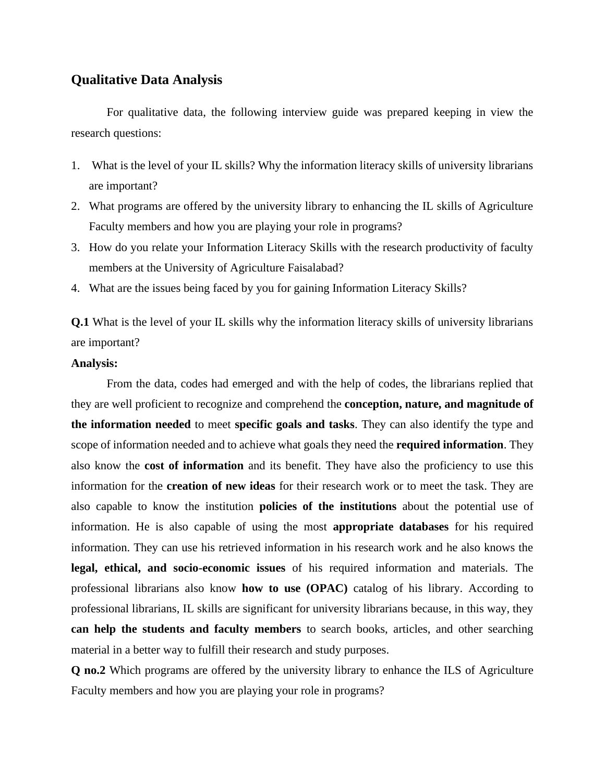## **Qualitative Data Analysis**

For qualitative data, the following interview guide was prepared keeping in view the research questions:

- 1. What is the level of your IL skills? Why the information literacy skills of university librarians are important?
- 2. What programs are offered by the university library to enhancing the IL skills of Agriculture Faculty members and how you are playing your role in programs?
- 3. How do you relate your Information Literacy Skills with the research productivity of faculty members at the University of Agriculture Faisalabad?
- 4. What are the issues being faced by you for gaining Information Literacy Skills?

**Q.1** What is the level of your IL skills why the information literacy skills of university librarians are important?

#### **Analysis:**

From the data, codes had emerged and with the help of codes, the librarians replied that they are well proficient to recognize and comprehend the **conception, nature, and magnitude of the information needed** to meet **specific goals and tasks**. They can also identify the type and scope of information needed and to achieve what goals they need the **required information**. They also know the **cost of information** and its benefit. They have also the proficiency to use this information for the **creation of new ideas** for their research work or to meet the task. They are also capable to know the institution **policies of the institutions** about the potential use of information. He is also capable of using the most **appropriate databases** for his required information. They can use his retrieved information in his research work and he also knows the **legal, ethical, and socio-economic issues** of his required information and materials. The professional librarians also know **how to use (OPAC)** catalog of his library. According to professional librarians, IL skills are significant for university librarians because, in this way, they **can help the students and faculty members** to search books, articles, and other searching material in a better way to fulfill their research and study purposes.

**Q no.2** Which programs are offered by the university library to enhance the ILS of Agriculture Faculty members and how you are playing your role in programs?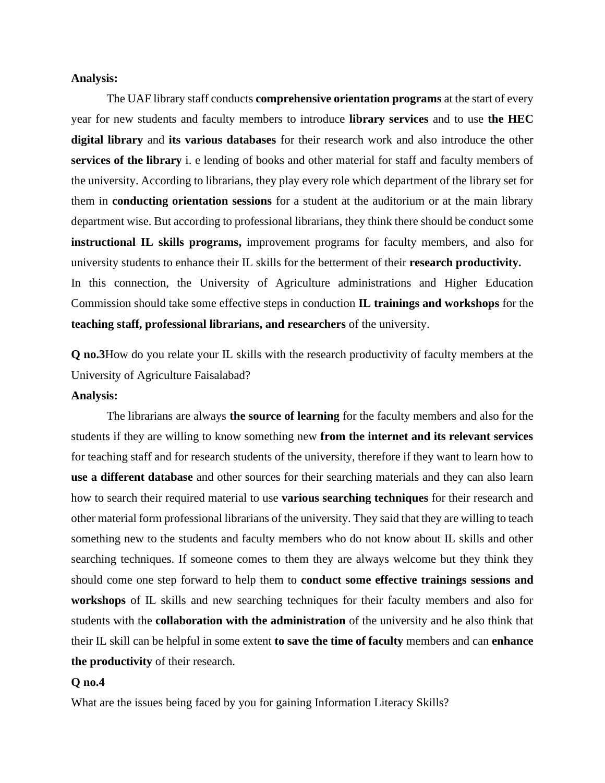#### **Analysis:**

The UAF library staff conducts **comprehensive orientation programs** at the start of every year for new students and faculty members to introduce **library services** and to use **the HEC digital library** and **its various databases** for their research work and also introduce the other **services of the library** i. e lending of books and other material for staff and faculty members of the university. According to librarians, they play every role which department of the library set for them in **conducting orientation sessions** for a student at the auditorium or at the main library department wise. But according to professional librarians, they think there should be conduct some **instructional IL skills programs,** improvement programs for faculty members, and also for university students to enhance their IL skills for the betterment of their **research productivity.** In this connection, the University of Agriculture administrations and Higher Education Commission should take some effective steps in conduction **IL trainings and workshops** for the

**teaching staff, professional librarians, and researchers** of the university.

**Q no.3**How do you relate your IL skills with the research productivity of faculty members at the University of Agriculture Faisalabad?

#### **Analysis:**

The librarians are always **the source of learning** for the faculty members and also for the students if they are willing to know something new **from the internet and its relevant services** for teaching staff and for research students of the university, therefore if they want to learn how to **use a different database** and other sources for their searching materials and they can also learn how to search their required material to use **various searching techniques** for their research and other material form professional librarians of the university. They said that they are willing to teach something new to the students and faculty members who do not know about IL skills and other searching techniques. If someone comes to them they are always welcome but they think they should come one step forward to help them to **conduct some effective trainings sessions and workshops** of IL skills and new searching techniques for their faculty members and also for students with the **collaboration with the administration** of the university and he also think that their IL skill can be helpful in some extent **to save the time of faculty** members and can **enhance the productivity** of their research.

#### **Q no.4**

What are the issues being faced by you for gaining Information Literacy Skills?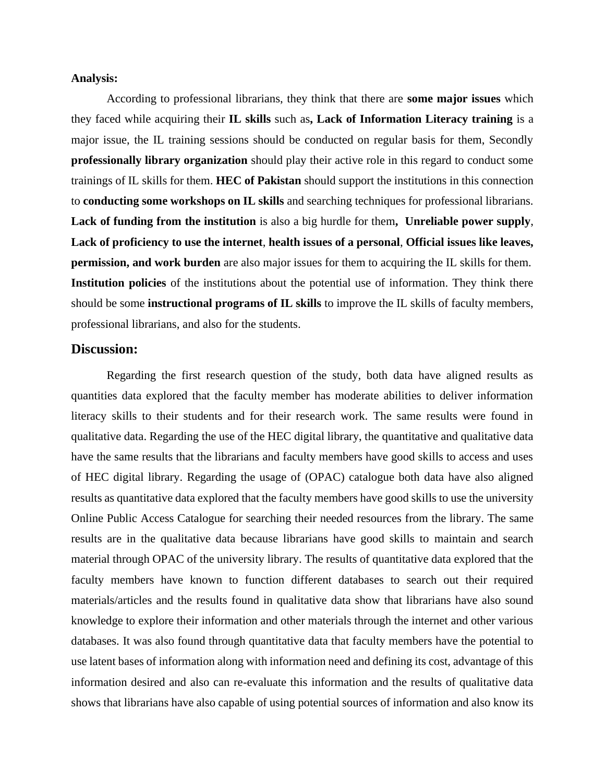#### **Analysis:**

According to professional librarians, they think that there are **some major issues** which they faced while acquiring their **IL skills** such as**, Lack of Information Literacy training** is a major issue, the IL training sessions should be conducted on regular basis for them, Secondly **professionally library organization** should play their active role in this regard to conduct some trainings of IL skills for them. **HEC of Pakistan** should support the institutions in this connection to **conducting some workshops on IL skills** and searching techniques for professional librarians. **Lack of funding from the institution** is also a big hurdle for them**, Unreliable power supply**, **Lack of proficiency to use the internet**, **health issues of a personal**, **Official issues like leaves, permission, and work burden** are also major issues for them to acquiring the IL skills for them. **Institution policies** of the institutions about the potential use of information. They think there should be some **instructional programs of IL skills** to improve the IL skills of faculty members, professional librarians, and also for the students.

## **Discussion:**

Regarding the first research question of the study, both data have aligned results as quantities data explored that the faculty member has moderate abilities to deliver information literacy skills to their students and for their research work. The same results were found in qualitative data. Regarding the use of the HEC digital library, the quantitative and qualitative data have the same results that the librarians and faculty members have good skills to access and uses of HEC digital library. Regarding the usage of (OPAC) catalogue both data have also aligned results as quantitative data explored that the faculty members have good skills to use the university Online Public Access Catalogue for searching their needed resources from the library. The same results are in the qualitative data because librarians have good skills to maintain and search material through OPAC of the university library. The results of quantitative data explored that the faculty members have known to function different databases to search out their required materials/articles and the results found in qualitative data show that librarians have also sound knowledge to explore their information and other materials through the internet and other various databases. It was also found through quantitative data that faculty members have the potential to use latent bases of information along with information need and defining its cost, advantage of this information desired and also can re-evaluate this information and the results of qualitative data shows that librarians have also capable of using potential sources of information and also know its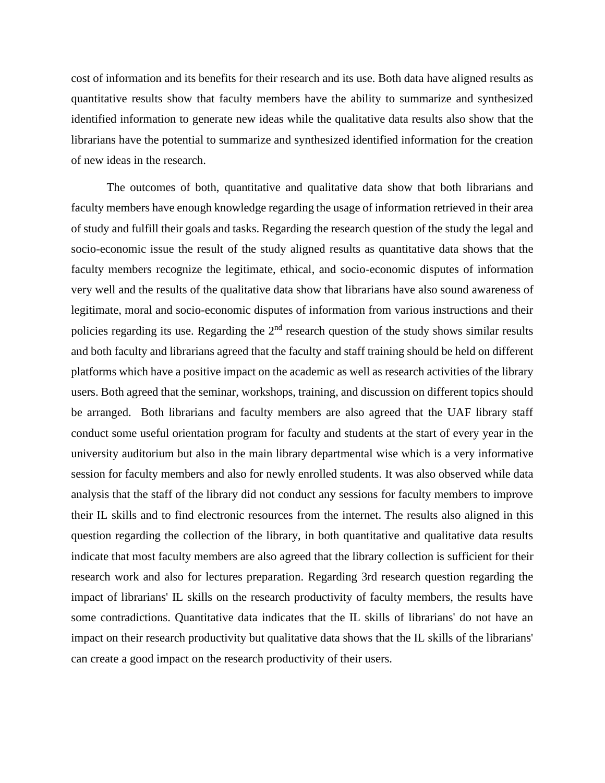cost of information and its benefits for their research and its use. Both data have aligned results as quantitative results show that faculty members have the ability to summarize and synthesized identified information to generate new ideas while the qualitative data results also show that the librarians have the potential to summarize and synthesized identified information for the creation of new ideas in the research.

The outcomes of both, quantitative and qualitative data show that both librarians and faculty members have enough knowledge regarding the usage of information retrieved in their area of study and fulfill their goals and tasks. Regarding the research question of the study the legal and socio-economic issue the result of the study aligned results as quantitative data shows that the faculty members recognize the legitimate, ethical, and socio-economic disputes of information very well and the results of the qualitative data show that librarians have also sound awareness of legitimate, moral and socio-economic disputes of information from various instructions and their policies regarding its use. Regarding the  $2<sup>nd</sup>$  research question of the study shows similar results and both faculty and librarians agreed that the faculty and staff training should be held on different platforms which have a positive impact on the academic as well as research activities of the library users. Both agreed that the seminar, workshops, training, and discussion on different topics should be arranged. Both librarians and faculty members are also agreed that the UAF library staff conduct some useful orientation program for faculty and students at the start of every year in the university auditorium but also in the main library departmental wise which is a very informative session for faculty members and also for newly enrolled students. It was also observed while data analysis that the staff of the library did not conduct any sessions for faculty members to improve their IL skills and to find electronic resources from the internet. The results also aligned in this question regarding the collection of the library, in both quantitative and qualitative data results indicate that most faculty members are also agreed that the library collection is sufficient for their research work and also for lectures preparation. Regarding 3rd research question regarding the impact of librarians' IL skills on the research productivity of faculty members, the results have some contradictions. Quantitative data indicates that the IL skills of librarians' do not have an impact on their research productivity but qualitative data shows that the IL skills of the librarians' can create a good impact on the research productivity of their users.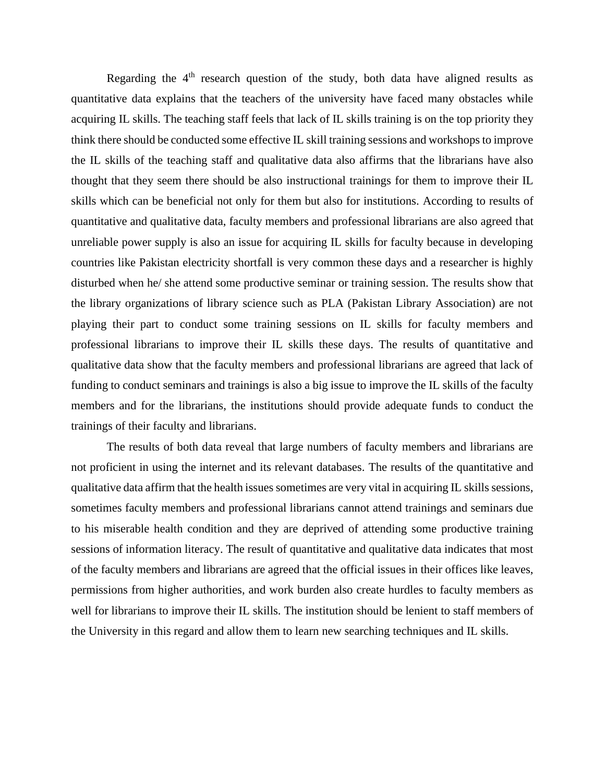Regarding the  $4<sup>th</sup>$  research question of the study, both data have aligned results as quantitative data explains that the teachers of the university have faced many obstacles while acquiring IL skills. The teaching staff feels that lack of IL skills training is on the top priority they think there should be conducted some effective IL skill training sessions and workshops to improve the IL skills of the teaching staff and qualitative data also affirms that the librarians have also thought that they seem there should be also instructional trainings for them to improve their IL skills which can be beneficial not only for them but also for institutions. According to results of quantitative and qualitative data, faculty members and professional librarians are also agreed that unreliable power supply is also an issue for acquiring IL skills for faculty because in developing countries like Pakistan electricity shortfall is very common these days and a researcher is highly disturbed when he/ she attend some productive seminar or training session. The results show that the library organizations of library science such as PLA (Pakistan Library Association) are not playing their part to conduct some training sessions on IL skills for faculty members and professional librarians to improve their IL skills these days. The results of quantitative and qualitative data show that the faculty members and professional librarians are agreed that lack of funding to conduct seminars and trainings is also a big issue to improve the IL skills of the faculty members and for the librarians, the institutions should provide adequate funds to conduct the trainings of their faculty and librarians.

The results of both data reveal that large numbers of faculty members and librarians are not proficient in using the internet and its relevant databases. The results of the quantitative and qualitative data affirm that the health issues sometimes are very vital in acquiring IL skills sessions, sometimes faculty members and professional librarians cannot attend trainings and seminars due to his miserable health condition and they are deprived of attending some productive training sessions of information literacy. The result of quantitative and qualitative data indicates that most of the faculty members and librarians are agreed that the official issues in their offices like leaves, permissions from higher authorities, and work burden also create hurdles to faculty members as well for librarians to improve their IL skills. The institution should be lenient to staff members of the University in this regard and allow them to learn new searching techniques and IL skills.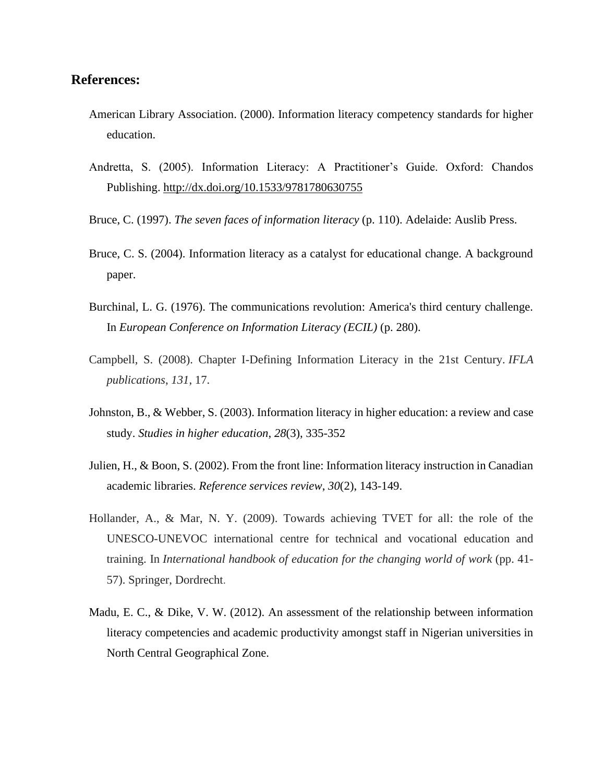# **References:**

- American Library Association. (2000). Information literacy competency standards for higher education.
- Andretta, S. (2005). Information Literacy: A Practitioner's Guide. Oxford: Chandos Publishing.<http://dx.doi.org/10.1533/9781780630755>
- Bruce, C. (1997). *The seven faces of information literacy* (p. 110). Adelaide: Auslib Press.
- Bruce, C. S. (2004). Information literacy as a catalyst for educational change. A background paper.
- Burchinal, L. G. (1976). The communications revolution: America's third century challenge. In *European Conference on Information Literacy (ECIL)* (p. 280).
- Campbell, S. (2008). Chapter I-Defining Information Literacy in the 21st Century. *IFLA publications*, *131*, 17.
- Johnston, B., & Webber, S. (2003). Information literacy in higher education: a review and case study. *Studies in higher education*, *28*(3), 335-352
- Julien, H., & Boon, S. (2002). From the front line: Information literacy instruction in Canadian academic libraries. *Reference services review*, *30*(2), 143-149.
- Hollander, A., & Mar, N. Y. (2009). Towards achieving TVET for all: the role of the UNESCO-UNEVOC international centre for technical and vocational education and training. In *International handbook of education for the changing world of work* (pp. 41- 57). Springer, Dordrecht.
- Madu, E. C., & Dike, V. W. (2012). An assessment of the relationship between information literacy competencies and academic productivity amongst staff in Nigerian universities in North Central Geographical Zone.